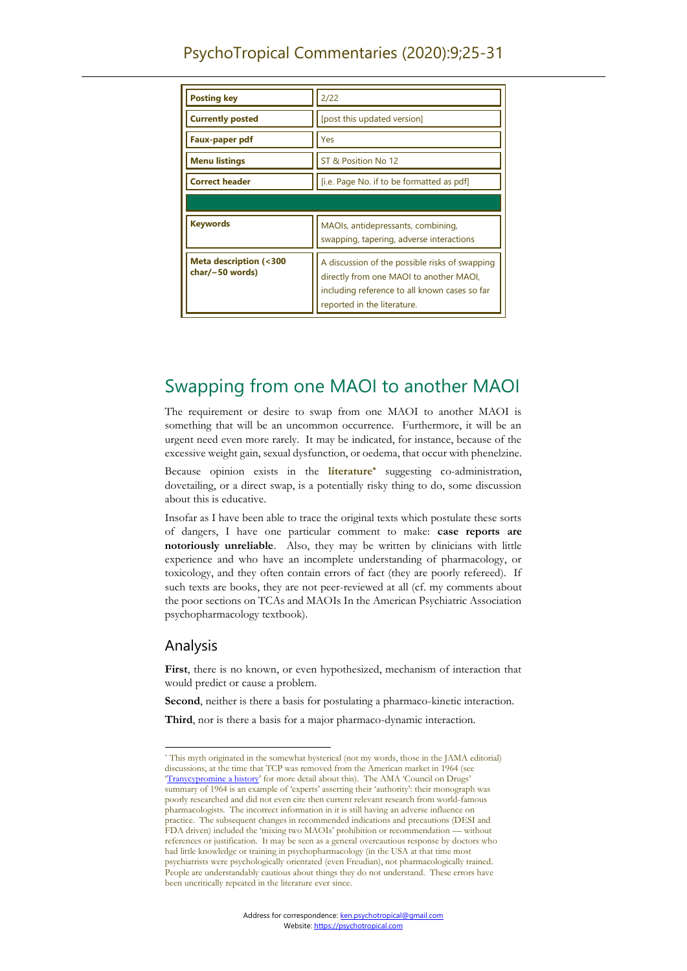| <b>Posting key</b>                                         | 2/22                                                                                                                                                                      |
|------------------------------------------------------------|---------------------------------------------------------------------------------------------------------------------------------------------------------------------------|
| <b>Currently posted</b>                                    | [post this updated version]                                                                                                                                               |
| Faux-paper pdf                                             | Yes                                                                                                                                                                       |
| <b>Menu listings</b>                                       | ST & Position No 12                                                                                                                                                       |
| <b>Correct header</b>                                      | [i.e. Page No. if to be formatted as pdf]                                                                                                                                 |
|                                                            |                                                                                                                                                                           |
| <b>Keywords</b>                                            | MAOIs, antidepressants, combining,<br>swapping, tapering, adverse interactions                                                                                            |
| <b>Meta description (&lt;300</b><br>char/ $\sim$ 50 words) | A discussion of the possible risks of swapping<br>directly from one MAOI to another MAOI,<br>including reference to all known cases so far<br>reported in the literature. |

# Swapping from one MAOI to another MAOI

The requirement or desire to swap from one MAOI to another MAOI is something that will be an uncommon occurrence. Furthermore, it will be an urgent need even more rarely. It may be indicated, for instance, because of the excessive weight gain, sexual dysfunction, or oedema, that occur with phenelzine.

Because opinion exists in the **literature\*** suggesting co-administration, dovetailing, or a direct swap, is a potentially risky thing to do, some discussion about this is educative.

Insofar as I have been able to trace the original texts which postulate these sorts of dangers, I have one particular comment to make: **case reports are notoriously unreliable**. Also, they may be written by clinicians with little experience and who have an incomplete understanding of pharmacology, or toxicology, and they often contain errors of fact (they are poorly refereed). If such texts are books, they are not peer-reviewed at all (cf. my comments about the poor sections on TCAs and MAOIs In the American Psychiatric Association psychopharmacology textbook).

# Analysis

**First**, there is no known, or even hypothesized, mechanism of interaction that would predict or cause a problem.

**Second**, neither is there a basis for postulating a pharmaco-kinetic interaction.

**Third**, nor is there a basis for a major pharmaco-dynamic interaction.

<sup>\*</sup> This myth originated in the somewhat hysterical (not my words, those in the JAMA editorial) discussions, at the time that TCP was removed from the American market in 1964 (see '[Tranycypromine a history](https://psychotropical.com/65-tranylcypromine-parnate-a-brief-history/)' for more detail about this). The AMA 'Council on Drugs' summary of 1964 is an example of 'experts' asserting their 'authority': their monograph was poorly researched and did not even cite then current relevant research from world-famous pharmacologists. The incorrect information in it is still having an adverse influence on practice. The subsequent changes in recommended indications and precautions (DESI and FDA driven) included the 'mixing two MAOIs' prohibition or recommendation — without references or justification. It may be seen as a general overcautious response by doctors who had little knowledge or training in psychopharmacology (in the USA at that time most psychiatrists were psychologically orientated (even Freudian), not pharmacologically trained. People are understandably cautious about things they do not understand. These errors have been uncritically repeated in the literature ever since.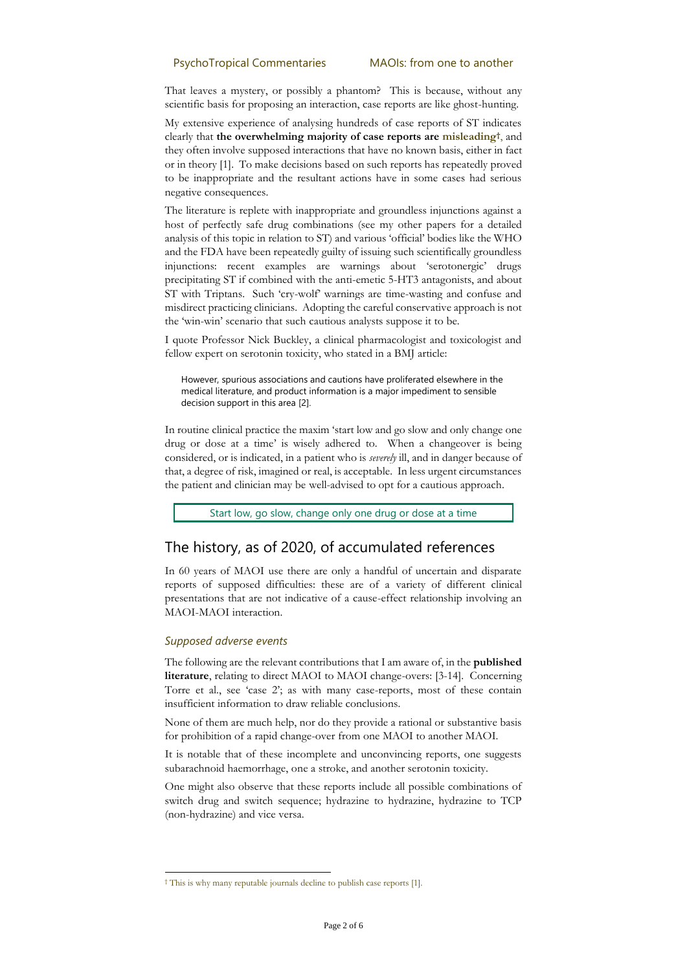That leaves a mystery, or possibly a phantom? This is because, without any scientific basis for proposing an interaction, case reports are like ghost-hunting.

My extensive experience of analysing hundreds of case reports of ST indicates clearly that **the overwhelming majority of case reports are misleading†** , and they often involve supposed interactions that have no known basis, either in fact or in theory [1]. To make decisions based on such reports has repeatedly proved to be inappropriate and the resultant actions have in some cases had serious negative consequences.

The literature is replete with inappropriate and groundless injunctions against a host of perfectly safe drug combinations (see my other papers for a detailed analysis of this topic in relation to ST) and various 'official' bodies like the WHO and the FDA have been repeatedly guilty of issuing such scientifically groundless injunctions: recent examples are warnings about 'serotonergic' drugs precipitating ST if combined with the anti-emetic 5-HT3 antagonists, and about ST with Triptans. Such 'cry-wolf' warnings are time-wasting and confuse and misdirect practicing clinicians. Adopting the careful conservative approach is not the 'win-win' scenario that such cautious analysts suppose it to be.

I quote Professor Nick Buckley, a clinical pharmacologist and toxicologist and fellow expert on serotonin toxicity, who stated in a BMJ article:

However, spurious associations and cautions have proliferated elsewhere in the medical literature, and product information is a major impediment to sensible decision support in this area [2].

In routine clinical practice the maxim 'start low and go slow and only change one drug or dose at a time' is wisely adhered to. When a changeover is being considered, or is indicated, in a patient who is *severely* ill, and in danger because of that, a degree of risk, imagined or real, is acceptable. In less urgent circumstances the patient and clinician may be well-advised to opt for a cautious approach.

Start low, go slow, change only one drug or dose at a time

## The history, as of 2020, of accumulated references

In 60 years of MAOI use there are only a handful of uncertain and disparate reports of supposed difficulties: these are of a variety of different clinical presentations that are not indicative of a cause-effect relationship involving an MAOI-MAOI interaction.

#### *Supposed adverse events*

The following are the relevant contributions that I am aware of, in the **published literature**, relating to direct MAOI to MAOI change-overs: [3-14]. Concerning Torre et al., see 'case 2'; as with many case-reports, most of these contain insufficient information to draw reliable conclusions.

None of them are much help, nor do they provide a rational or substantive basis for prohibition of a rapid change-over from one MAOI to another MAOI.

It is notable that of these incomplete and unconvincing reports, one suggests subarachnoid haemorrhage, one a stroke, and another serotonin toxicity.

One might also observe that these reports include all possible combinations of switch drug and switch sequence; hydrazine to hydrazine, hydrazine to TCP (non-hydrazine) and vice versa.

<sup>†</sup> This is why many reputable journals decline to publish case reports [1].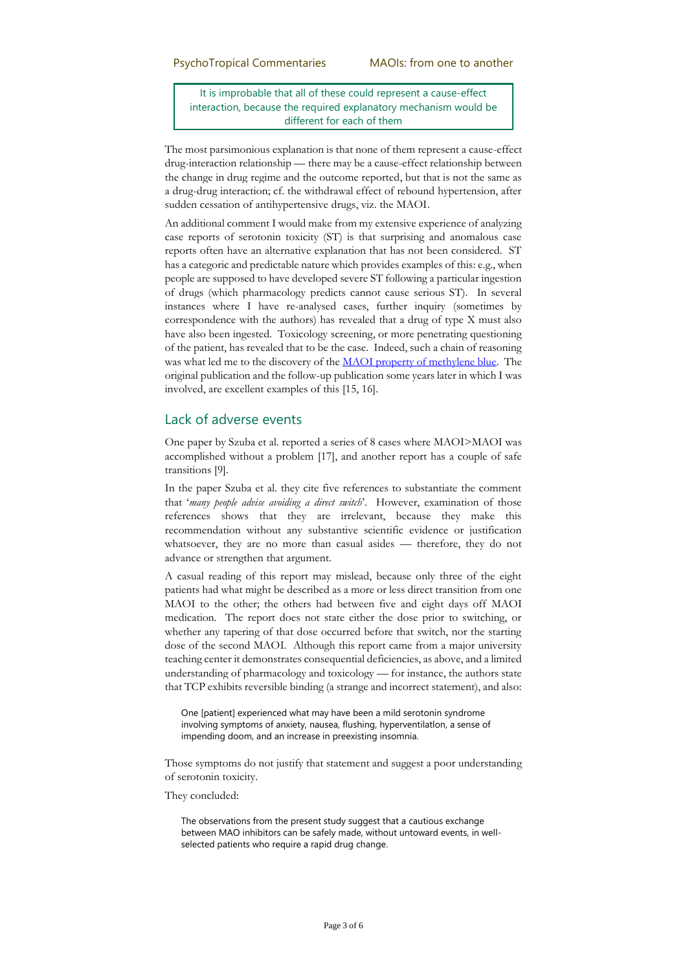It is improbable that all of these could represent a cause-effect interaction, because the required explanatory mechanism would be different for each of them

The most parsimonious explanation is that none of them represent a cause-effect drug-interaction relationship — there may be a cause-effect relationship between the change in drug regime and the outcome reported, but that is not the same as a drug-drug interaction; cf. the withdrawal effect of rebound hypertension, after sudden cessation of antihypertensive drugs, viz. the MAOI.

An additional comment I would make from my extensive experience of analyzing case reports of serotonin toxicity (ST) is that surprising and anomalous case reports often have an alternative explanation that has not been considered. ST has a categoric and predictable nature which provides examples of this: e.g., when people are supposed to have developed severe ST following a particular ingestion of drugs (which pharmacology predicts cannot cause serious ST). In several instances where I have re-analysed cases, further inquiry (sometimes by correspondence with the authors) has revealed that a drug of type X must also have also been ingested. Toxicology screening, or more penetrating questioning of the patient, has revealed that to be the case. Indeed, such a chain of reasoning was what led me to the discovery of the [MAOI property of methylene blue.](https://psychotropical.com/methylene-blue-serotonin-toxicity-syndrome/) The original publication and the follow-up publication some years later in which I was involved, are excellent examples of this [15, 16].

### Lack of adverse events

One paper by Szuba et al. reported a series of 8 cases where MAOI>MAOI was accomplished without a problem [17], and another report has a couple of safe transitions [9].

In the paper Szuba et al. they cite five references to substantiate the comment that '*many people advise avoiding a direct switch*'. However, examination of those references shows that they are irrelevant, because they make this recommendation without any substantive scientific evidence or justification whatsoever, they are no more than casual asides — therefore, they do not advance or strengthen that argument.

A casual reading of this report may mislead, because only three of the eight patients had what might be described as a more or less direct transition from one MAOI to the other; the others had between five and eight days off MAOI medication. The report does not state either the dose prior to switching, or whether any tapering of that dose occurred before that switch, nor the starting dose of the second MAOI. Although this report came from a major university teaching center it demonstrates consequential deficiencies, as above, and a limited understanding of pharmacology and toxicology — for instance, the authors state that TCP exhibits reversible binding (a strange and incorrect statement), and also:

One [patient] experienced what may have been a mild serotonin syndrome involving symptoms of anxiety, nausea, flushing, hyperventilatlon, a sense of impending doom, and an increase in preexisting insomnia.

Those symptoms do not justify that statement and suggest a poor understanding of serotonin toxicity.

They concluded:

The observations from the present study suggest that a cautious exchange between MAO inhibitors can be safely made, without untoward events, in wellselected patients who require a rapid drug change.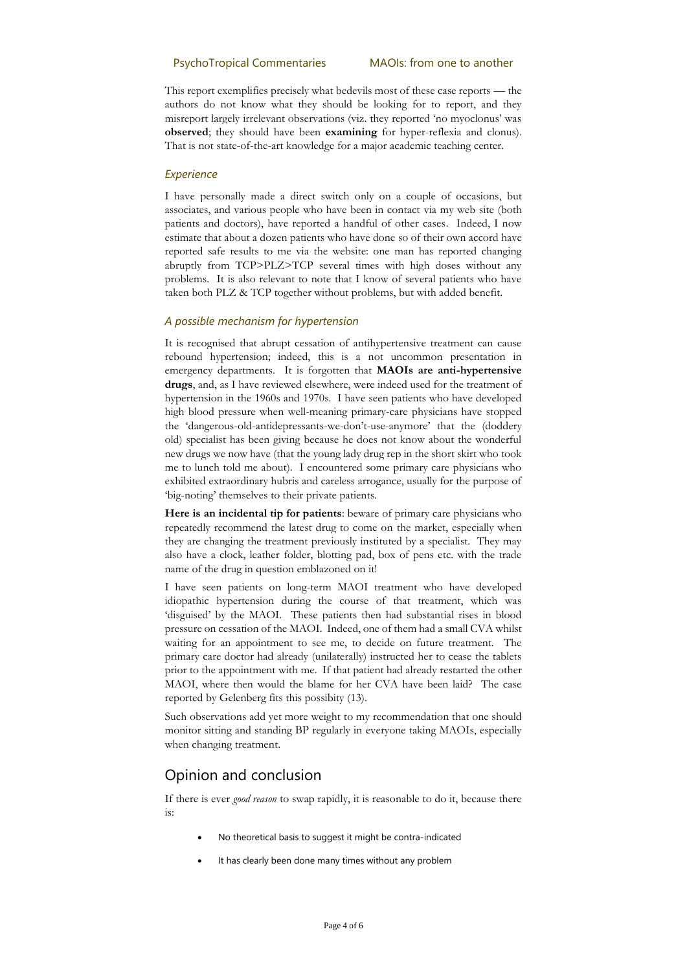This report exemplifies precisely what bedevils most of these case reports — the authors do not know what they should be looking for to report, and they misreport largely irrelevant observations (viz. they reported 'no myoclonus' was **observed**; they should have been **examining** for hyper-reflexia and clonus). That is not state-of-the-art knowledge for a major academic teaching center.

#### *Experience*

I have personally made a direct switch only on a couple of occasions, but associates, and various people who have been in contact via my web site (both patients and doctors), have reported a handful of other cases. Indeed, I now estimate that about a dozen patients who have done so of their own accord have reported safe results to me via the website: one man has reported changing abruptly from TCP>PLZ>TCP several times with high doses without any problems. It is also relevant to note that I know of several patients who have taken both PLZ & TCP together without problems, but with added benefit.

#### *A possible mechanism for hypertension*

It is recognised that abrupt cessation of antihypertensive treatment can cause rebound hypertension; indeed, this is a not uncommon presentation in emergency departments. It is forgotten that **MAOIs are anti-hypertensive drugs**, and, as I have reviewed elsewhere, were indeed used for the treatment of hypertension in the 1960s and 1970s. I have seen patients who have developed high blood pressure when well-meaning primary-care physicians have stopped the 'dangerous-old-antidepressants-we-don't-use-anymore' that the (doddery old) specialist has been giving because he does not know about the wonderful new drugs we now have (that the young lady drug rep in the short skirt who took me to lunch told me about). I encountered some primary care physicians who exhibited extraordinary hubris and careless arrogance, usually for the purpose of 'big-noting' themselves to their private patients.

**Here is an incidental tip for patients**: beware of primary care physicians who repeatedly recommend the latest drug to come on the market, especially when they are changing the treatment previously instituted by a specialist. They may also have a clock, leather folder, blotting pad, box of pens etc. with the trade name of the drug in question emblazoned on it!

I have seen patients on long-term MAOI treatment who have developed idiopathic hypertension during the course of that treatment, which was 'disguised' by the MAOI. These patients then had substantial rises in blood pressure on cessation of the MAOI. Indeed, one of them had a small CVA whilst waiting for an appointment to see me, to decide on future treatment. The primary care doctor had already (unilaterally) instructed her to cease the tablets prior to the appointment with me. If that patient had already restarted the other MAOI, where then would the blame for her CVA have been laid? The case reported by Gelenberg fits this possibity (13).

Such observations add yet more weight to my recommendation that one should monitor sitting and standing BP regularly in everyone taking MAOIs, especially when changing treatment.

# Opinion and conclusion

If there is ever *good reason* to swap rapidly, it is reasonable to do it, because there is:

- No theoretical basis to suggest it might be contra-indicated
- It has clearly been done many times without any problem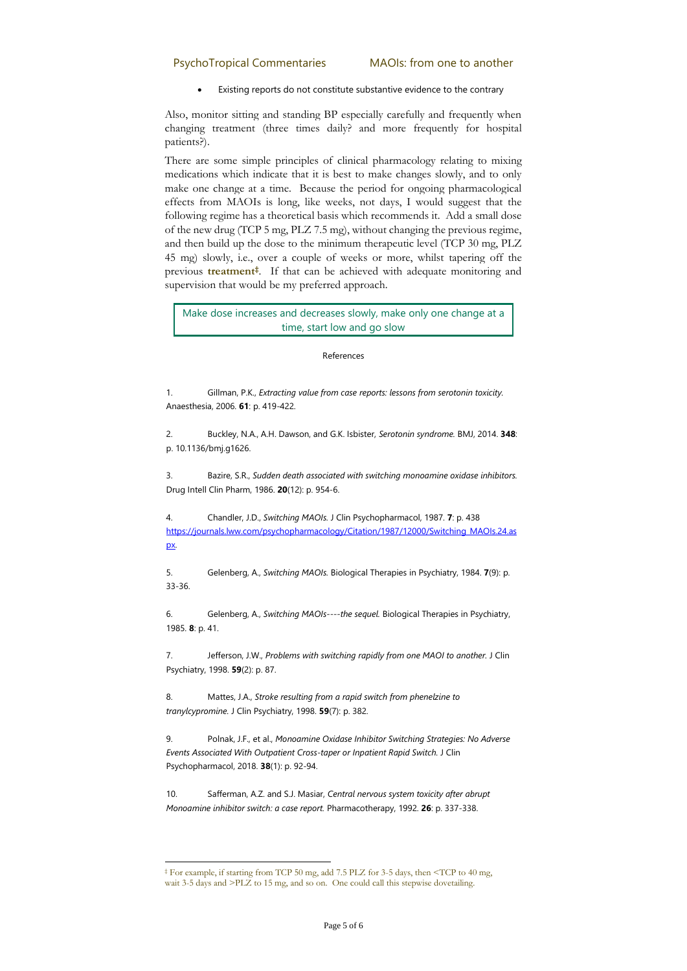Existing reports do not constitute substantive evidence to the contrary

Also, monitor sitting and standing BP especially carefully and frequently when changing treatment (three times daily? and more frequently for hospital patients?).

There are some simple principles of clinical pharmacology relating to mixing medications which indicate that it is best to make changes slowly, and to only make one change at a time. Because the period for ongoing pharmacological effects from MAOIs is long, like weeks, not days, I would suggest that the following regime has a theoretical basis which recommends it. Add a small dose of the new drug (TCP 5 mg, PLZ 7.5 mg), without changing the previous regime, and then build up the dose to the minimum therapeutic level (TCP 30 mg, PLZ 45 mg) slowly, i.e., over a couple of weeks or more, whilst tapering off the previous **treatment‡** . If that can be achieved with adequate monitoring and supervision that would be my preferred approach.

Make dose increases and decreases slowly, make only one change at a time, start low and go slow

#### References

1. Gillman, P.K., *Extracting value from case reports: lessons from serotonin toxicity.* Anaesthesia, 2006. **61**: p. 419-422.

2. Buckley, N.A., A.H. Dawson, and G.K. Isbister, *Serotonin syndrome.* BMJ, 2014. **348**: p. 10.1136/bmj.g1626.

3. Bazire, S.R., *Sudden death associated with switching monoamine oxidase inhibitors.* Drug Intell Clin Pharm, 1986. **20**(12): p. 954-6.

4. Chandler, J.D., *Switching MAOIs.* J Clin Psychopharmacol, 1987. **7**: p. 438 [https://journals.lww.com/psychopharmacology/Citation/1987/12000/Switching\\_MAOIs.24.as](https://journals.lww.com/psychopharmacology/Citation/1987/12000/Switching_MAOIs.24.aspx) [px.](https://journals.lww.com/psychopharmacology/Citation/1987/12000/Switching_MAOIs.24.aspx)

5. Gelenberg, A., *Switching MAOIs.* Biological Therapies in Psychiatry, 1984. **7**(9): p. 33-36.

6. Gelenberg, A., *Switching MAOIs----the sequel.* Biological Therapies in Psychiatry, 1985. **8**: p. 41.

7. Jefferson, J.W., *Problems with switching rapidly from one MAOI to another.* J Clin Psychiatry, 1998. **59**(2): p. 87.

8. Mattes, J.A., *Stroke resulting from a rapid switch from phenelzine to tranylcypromine.* J Clin Psychiatry, 1998. **59**(7): p. 382.

9. Polnak, J.F., et al., *Monoamine Oxidase Inhibitor Switching Strategies: No Adverse Events Associated With Outpatient Cross-taper or Inpatient Rapid Switch.* J Clin Psychopharmacol, 2018. **38**(1): p. 92-94.

10. Safferman, A.Z. and S.J. Masiar, *Central nervous system toxicity after abrupt Monoamine inhibitor switch: a case report.* Pharmacotherapy, 1992. **26**: p. 337-338.

<sup>‡</sup> For example, if starting from TCP 50 mg, add 7.5 PLZ for 3-5 days, then <TCP to 40 mg, wait 3-5 days and >PLZ to 15 mg, and so on. One could call this stepwise dovetailing.